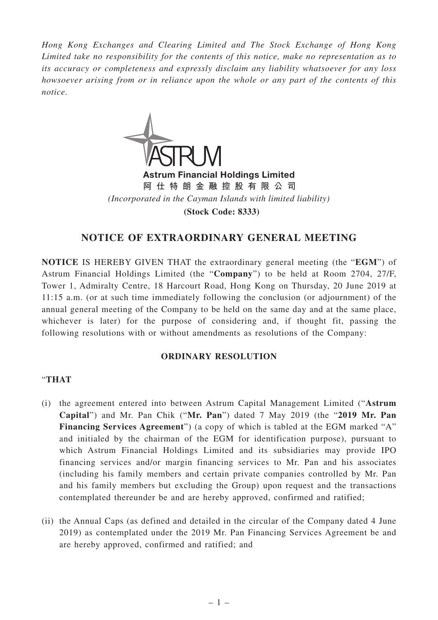*Hong Kong Exchanges and Clearing Limited and The Stock Exchange of Hong Kong Limited take no responsibility for the contents of this notice, make no representation as to its accuracy or completeness and expressly disclaim any liability whatsoever for any loss howsoever arising from or in reliance upon the whole or any part of the contents of this notice.*



m Financial Holdings Limited **阿仕特朗金融控股有限公司** *(Incorporated in the Cayman Islands with limited liability)* **(Stock Code: 8333)**

## **NOTICE OF EXTRAORDINARY GENERAL MEETING**

**NOTICE** IS HEREBY GIVEN THAT the extraordinary general meeting (the "**EGM**") of Astrum Financial Holdings Limited (the "**Company**") to be held at Room 2704, 27/F, Tower 1, Admiralty Centre, 18 Harcourt Road, Hong Kong on Thursday, 20 June 2019 at 11:15 a.m. (or at such time immediately following the conclusion (or adjournment) of the annual general meeting of the Company to be held on the same day and at the same place, whichever is later) for the purpose of considering and, if thought fit, passing the following resolutions with or without amendments as resolutions of the Company:

## **ORDINARY RESOLUTION**

## "**THAT**

- (i) the agreement entered into between Astrum Capital Management Limited ("**Astrum Capital**") and Mr. Pan Chik ("**Mr. Pan**") dated 7 May 2019 (the "**2019 Mr. Pan Financing Services Agreement**") (a copy of which is tabled at the EGM marked "A" and initialed by the chairman of the EGM for identification purpose), pursuant to which Astrum Financial Holdings Limited and its subsidiaries may provide IPO financing services and/or margin financing services to Mr. Pan and his associates (including his family members and certain private companies controlled by Mr. Pan and his family members but excluding the Group) upon request and the transactions contemplated thereunder be and are hereby approved, confirmed and ratified;
- (ii) the Annual Caps (as defined and detailed in the circular of the Company dated 4 June 2019) as contemplated under the 2019 Mr. Pan Financing Services Agreement be and are hereby approved, confirmed and ratified; and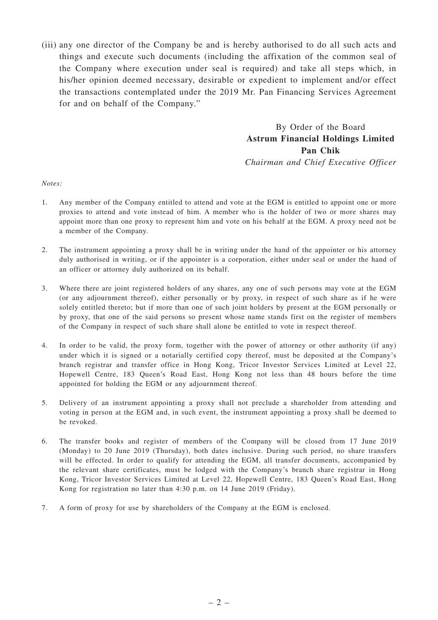(iii) any one director of the Company be and is hereby authorised to do all such acts and things and execute such documents (including the affixation of the common seal of the Company where execution under seal is required) and take all steps which, in his/her opinion deemed necessary, desirable or expedient to implement and/or effect the transactions contemplated under the 2019 Mr. Pan Financing Services Agreement for and on behalf of the Company."

> By Order of the Board **Astrum Financial Holdings Limited Pan Chik**

> *Chairman and Chief Executive Officer*

*Notes:*

- 1. Any member of the Company entitled to attend and vote at the EGM is entitled to appoint one or more proxies to attend and vote instead of him. A member who is the holder of two or more shares may appoint more than one proxy to represent him and vote on his behalf at the EGM. A proxy need not be a member of the Company.
- 2. The instrument appointing a proxy shall be in writing under the hand of the appointer or his attorney duly authorised in writing, or if the appointer is a corporation, either under seal or under the hand of an officer or attorney duly authorized on its behalf.
- 3. Where there are joint registered holders of any shares, any one of such persons may vote at the EGM (or any adjournment thereof), either personally or by proxy, in respect of such share as if he were solely entitled thereto; but if more than one of such joint holders by present at the EGM personally or by proxy, that one of the said persons so present whose name stands first on the register of members of the Company in respect of such share shall alone be entitled to vote in respect thereof.
- 4. In order to be valid, the proxy form, together with the power of attorney or other authority (if any) under which it is signed or a notarially certified copy thereof, must be deposited at the Company's branch registrar and transfer office in Hong Kong, Tricor Investor Services Limited at Level 22, Hopewell Centre, 183 Queen's Road East, Hong Kong not less than 48 hours before the time appointed for holding the EGM or any adjournment thereof.
- 5. Delivery of an instrument appointing a proxy shall not preclude a shareholder from attending and voting in person at the EGM and, in such event, the instrument appointing a proxy shall be deemed to be revoked.
- 6. The transfer books and register of members of the Company will be closed from 17 June 2019 (Monday) to 20 June 2019 (Thursday), both dates inclusive. During such period, no share transfers will be effected. In order to qualify for attending the EGM, all transfer documents, accompanied by the relevant share certificates, must be lodged with the Company's branch share registrar in Hong Kong, Tricor Investor Services Limited at Level 22, Hopewell Centre, 183 Queen's Road East, Hong Kong for registration no later than 4:30 p.m. on 14 June 2019 (Friday).
- 7. A form of proxy for use by shareholders of the Company at the EGM is enclosed.